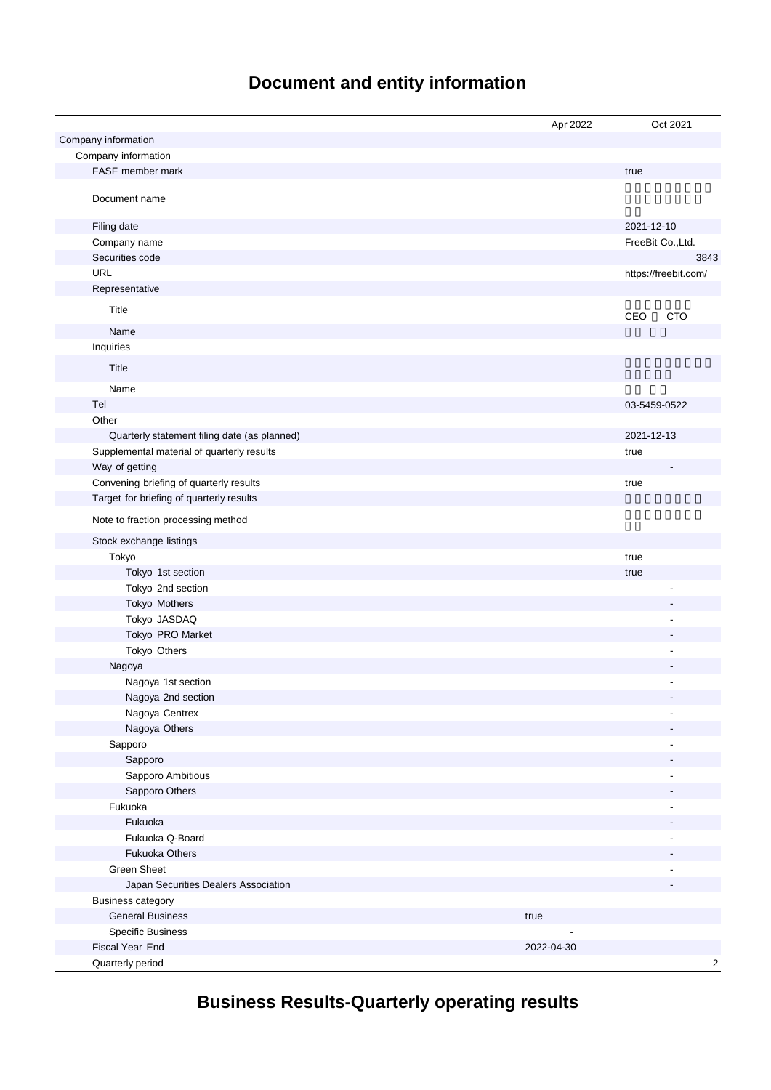# **Document and entity information**

|                                              | Apr 2022   | Oct 2021                |
|----------------------------------------------|------------|-------------------------|
| Company information                          |            |                         |
| Company information                          |            |                         |
| FASF member mark                             |            | true                    |
| Document name                                |            |                         |
| Filing date                                  |            | 2021-12-10              |
| Company name                                 |            | FreeBit Co., Ltd.       |
| Securities code                              |            | 3843                    |
| <b>URL</b>                                   |            | https://freebit.com/    |
| Representative                               |            |                         |
| Title                                        |            | CEO<br><b>CTO</b>       |
| Name                                         |            |                         |
| Inquiries                                    |            |                         |
| Title                                        |            |                         |
| Name                                         |            |                         |
| Tel                                          |            | 03-5459-0522            |
| Other                                        |            |                         |
| Quarterly statement filing date (as planned) |            | 2021-12-13              |
| Supplemental material of quarterly results   |            | true                    |
| Way of getting                               |            |                         |
| Convening briefing of quarterly results      |            | true                    |
| Target for briefing of quarterly results     |            |                         |
| Note to fraction processing method           |            |                         |
| Stock exchange listings                      |            |                         |
| Tokyo                                        |            | true                    |
| Tokyo 1st section                            |            | true                    |
| Tokyo 2nd section                            |            |                         |
| Tokyo Mothers                                |            |                         |
| Tokyo JASDAQ                                 |            |                         |
| Tokyo PRO Market                             |            |                         |
| Tokyo Others                                 |            |                         |
| Nagoya                                       |            |                         |
| Nagoya 1st section                           |            |                         |
| Nagoya 2nd section                           |            |                         |
| Nagoya Centrex                               |            |                         |
| Nagoya Others                                |            |                         |
| Sapporo                                      |            |                         |
| Sapporo                                      |            |                         |
| Sapporo Ambitious                            |            |                         |
| Sapporo Others                               |            |                         |
| Fukuoka                                      |            |                         |
| Fukuoka                                      |            |                         |
| Fukuoka Q-Board                              |            |                         |
| <b>Fukuoka Others</b>                        |            |                         |
| Green Sheet                                  |            |                         |
| Japan Securities Dealers Association         |            |                         |
| <b>Business category</b>                     |            |                         |
| <b>General Business</b>                      | true       |                         |
| <b>Specific Business</b>                     |            |                         |
| Fiscal Year End                              | 2022-04-30 |                         |
| Quarterly period                             |            | $\overline{\mathbf{c}}$ |

# **Business Results-Quarterly operating results**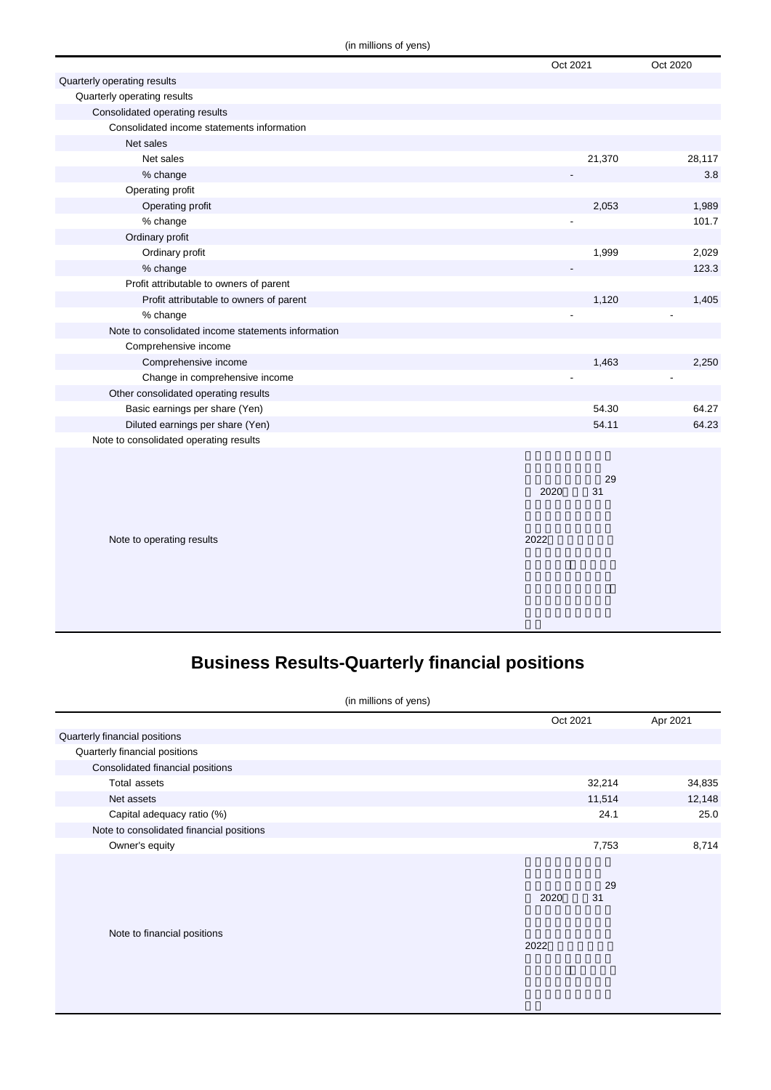|                                                    | Oct 2021         | Oct 2020 |
|----------------------------------------------------|------------------|----------|
| Quarterly operating results                        |                  |          |
| Quarterly operating results                        |                  |          |
| Consolidated operating results                     |                  |          |
| Consolidated income statements information         |                  |          |
| Net sales                                          |                  |          |
| Net sales                                          | 21,370           | 28,117   |
| % change                                           |                  | 3.8      |
| Operating profit                                   |                  |          |
| Operating profit                                   | 2,053            | 1,989    |
| % change                                           |                  | 101.7    |
| Ordinary profit                                    |                  |          |
| Ordinary profit                                    | 1,999            | 2,029    |
| % change                                           |                  | 123.3    |
| Profit attributable to owners of parent            |                  |          |
| Profit attributable to owners of parent            | 1,120            | 1,405    |
| % change                                           |                  |          |
| Note to consolidated income statements information |                  |          |
| Comprehensive income                               |                  |          |
| Comprehensive income                               | 1,463            | 2,250    |
| Change in comprehensive income                     |                  |          |
| Other consolidated operating results               |                  |          |
| Basic earnings per share (Yen)                     | 54.30            | 64.27    |
| Diluted earnings per share (Yen)                   | 54.11            | 64.23    |
| Note to consolidated operating results             |                  |          |
|                                                    |                  |          |
|                                                    |                  |          |
|                                                    | 29<br>31<br>2020 |          |
|                                                    |                  |          |
|                                                    |                  |          |
| Note to operating results                          | 2022             |          |
|                                                    |                  |          |
|                                                    |                  |          |
|                                                    |                  |          |
|                                                    |                  |          |
|                                                    |                  |          |

# **Business Results-Quarterly financial positions**

| (in millions of yens)                    |  |          |        |          |
|------------------------------------------|--|----------|--------|----------|
|                                          |  | Oct 2021 |        | Apr 2021 |
| Quarterly financial positions            |  |          |        |          |
| Quarterly financial positions            |  |          |        |          |
| Consolidated financial positions         |  |          |        |          |
| Total assets                             |  |          | 32,214 | 34,835   |
| Net assets                               |  |          | 11,514 | 12,148   |
| Capital adequacy ratio (%)               |  |          | 24.1   | 25.0     |
| Note to consolidated financial positions |  |          |        |          |
| Owner's equity                           |  |          | 7,753  | 8,714    |
|                                          |  |          |        |          |
|                                          |  |          | 29     |          |
|                                          |  | 2020     | 31     |          |
|                                          |  |          |        |          |
| Note to financial positions              |  |          |        |          |
|                                          |  | 2022     |        |          |
|                                          |  |          |        |          |
|                                          |  |          |        |          |
|                                          |  |          |        |          |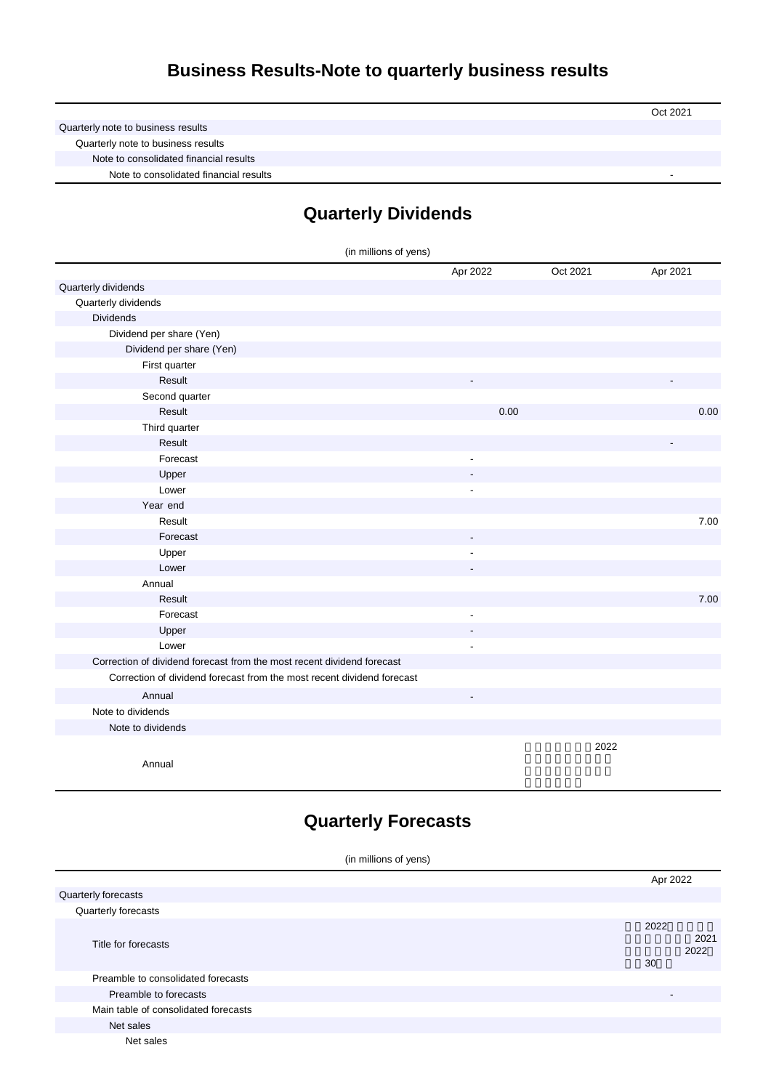## **Business Results-Note to quarterly business results**

|                                        | Oct 2021 |
|----------------------------------------|----------|
| Quarterly note to business results     |          |
| Quarterly note to business results     |          |
| Note to consolidated financial results |          |
| Note to consolidated financial results |          |

## **Quarterly Dividends**

| (in millions of yens)                                                  |                |          |          |
|------------------------------------------------------------------------|----------------|----------|----------|
|                                                                        | Apr 2022       | Oct 2021 | Apr 2021 |
| Quarterly dividends                                                    |                |          |          |
| Quarterly dividends                                                    |                |          |          |
| <b>Dividends</b>                                                       |                |          |          |
| Dividend per share (Yen)                                               |                |          |          |
| Dividend per share (Yen)                                               |                |          |          |
| First quarter                                                          |                |          |          |
| Result                                                                 |                |          |          |
| Second quarter                                                         |                |          |          |
| Result                                                                 | 0.00           |          | 0.00     |
| Third quarter                                                          |                |          |          |
| Result                                                                 |                |          |          |
| Forecast                                                               | $\blacksquare$ |          |          |
| Upper                                                                  |                |          |          |
| Lower                                                                  |                |          |          |
| Year end                                                               |                |          |          |
| Result                                                                 |                |          | 7.00     |
| Forecast                                                               |                |          |          |
| Upper                                                                  | ÷,             |          |          |
| Lower                                                                  |                |          |          |
| Annual                                                                 |                |          |          |
| Result                                                                 |                |          | 7.00     |
| Forecast                                                               | ÷,             |          |          |
| Upper                                                                  |                |          |          |
| Lower                                                                  |                |          |          |
| Correction of dividend forecast from the most recent dividend forecast |                |          |          |
| Correction of dividend forecast from the most recent dividend forecast |                |          |          |
| Annual                                                                 |                |          |          |
| Note to dividends                                                      |                |          |          |
| Note to dividends                                                      |                |          |          |
|                                                                        |                | 2022     |          |
| Annual                                                                 |                |          |          |

### **Quarterly Forecasts**

| (in millions of yens)                |  |                          |              |
|--------------------------------------|--|--------------------------|--------------|
|                                      |  | Apr 2022                 |              |
| Quarterly forecasts                  |  |                          |              |
| Quarterly forecasts                  |  |                          |              |
| Title for forecasts                  |  | 2022<br>30               | 2021<br>2022 |
| Preamble to consolidated forecasts   |  |                          |              |
| Preamble to forecasts                |  | $\overline{\phantom{a}}$ |              |
| Main table of consolidated forecasts |  |                          |              |
| Net sales                            |  |                          |              |
| Net sales                            |  |                          |              |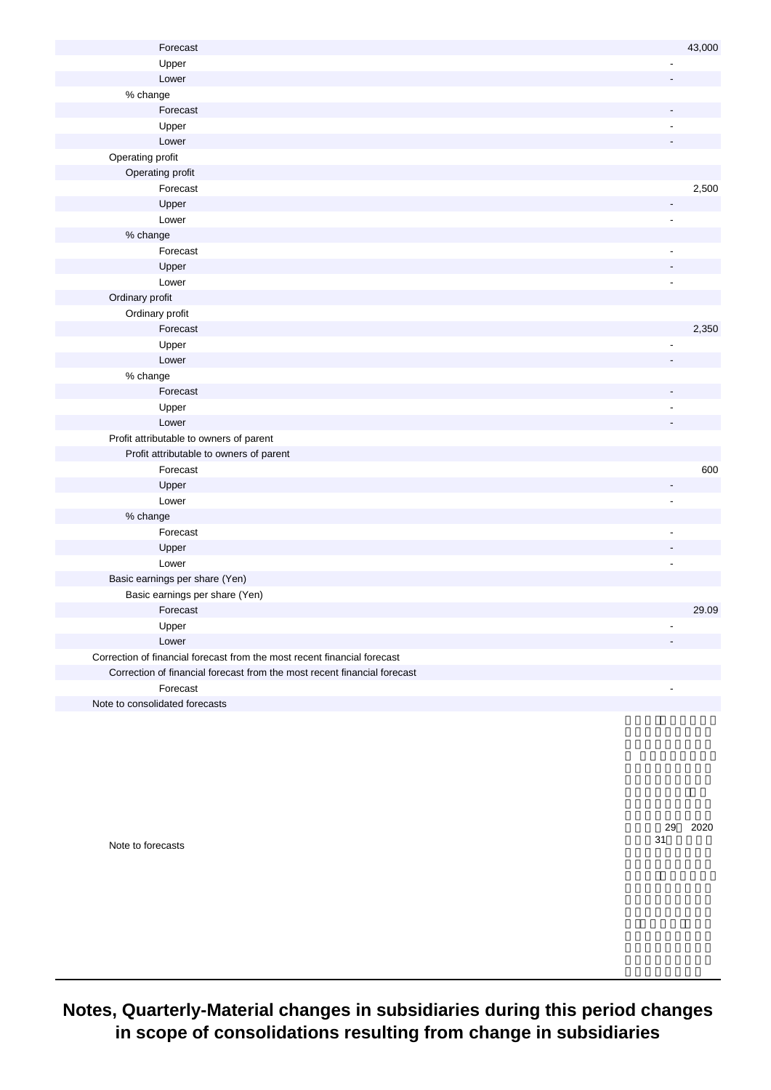| Forecast                                                                 |                          | 43,000 |
|--------------------------------------------------------------------------|--------------------------|--------|
| Upper                                                                    |                          |        |
| Lower                                                                    |                          |        |
| % change                                                                 |                          |        |
| Forecast                                                                 |                          |        |
| Upper                                                                    |                          |        |
| Lower                                                                    |                          |        |
| Operating profit                                                         |                          |        |
| Operating profit                                                         |                          |        |
| Forecast                                                                 |                          | 2,500  |
| Upper                                                                    | $\overline{a}$           |        |
| Lower                                                                    | ÷,                       |        |
| % change                                                                 |                          |        |
| Forecast                                                                 |                          |        |
| Upper                                                                    |                          |        |
| Lower                                                                    |                          |        |
| Ordinary profit                                                          |                          |        |
| Ordinary profit                                                          |                          |        |
| Forecast                                                                 |                          | 2,350  |
| Upper                                                                    |                          |        |
| Lower                                                                    |                          |        |
| % change                                                                 |                          |        |
| Forecast                                                                 |                          |        |
| Upper                                                                    |                          |        |
| Lower                                                                    |                          |        |
| Profit attributable to owners of parent                                  |                          |        |
| Profit attributable to owners of parent                                  |                          |        |
| Forecast                                                                 |                          | 600    |
| Upper                                                                    |                          |        |
| Lower                                                                    | $\overline{\phantom{a}}$ |        |
| % change                                                                 |                          |        |
| Forecast                                                                 |                          |        |
| Upper                                                                    |                          |        |
| Lower                                                                    | $\overline{\phantom{a}}$ |        |
| Basic earnings per share (Yen)                                           |                          |        |
| Basic earnings per share (Yen)                                           |                          |        |
| Forecast                                                                 |                          | 29.09  |
| Upper                                                                    |                          |        |
| Lower                                                                    |                          |        |
| Correction of financial forecast from the most recent financial forecast |                          |        |
| Correction of financial forecast from the most recent financial forecast |                          |        |
| Forecast                                                                 | $\blacksquare$           |        |
| Note to consolidated forecasts                                           |                          |        |

Note to forecasts

計基準第29号 2020 31

**Notes, Quarterly-Material changes in subsidiaries during this period changes in scope of consolidations resulting from change in subsidiaries**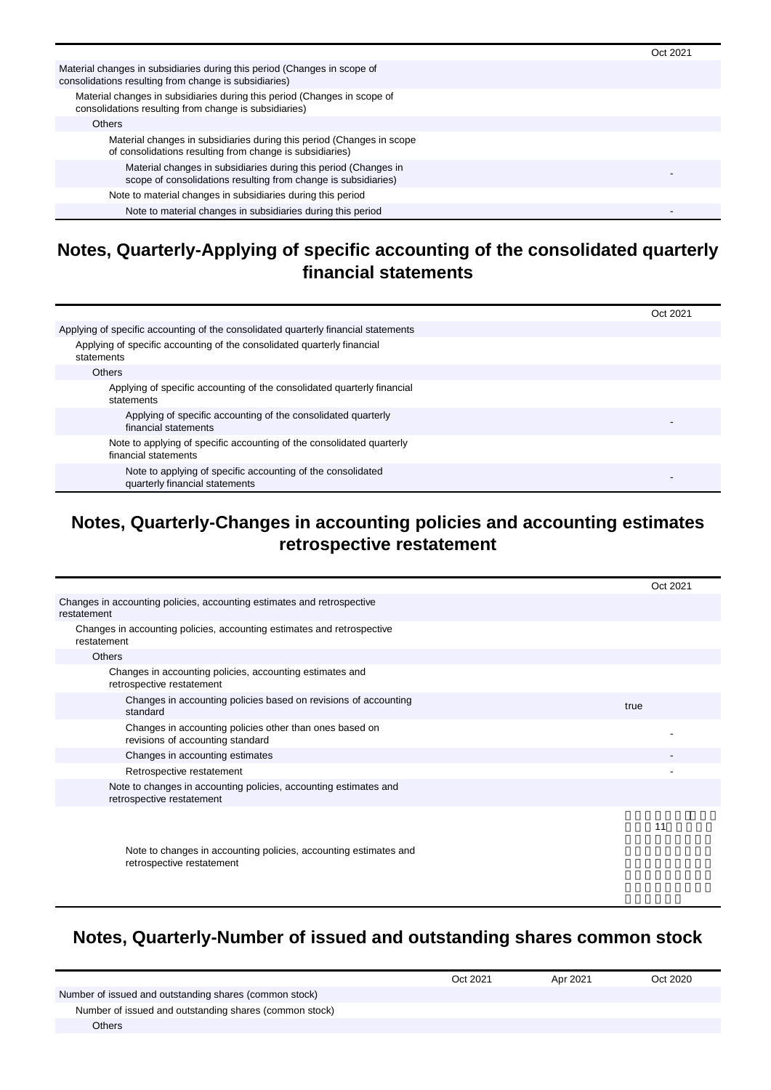|                                                                                                                                   | Oct 2021 |
|-----------------------------------------------------------------------------------------------------------------------------------|----------|
| Material changes in subsidiaries during this period (Changes in scope of<br>consolidations resulting from change is subsidiaries) |          |
| Material changes in subsidiaries during this period (Changes in scope of<br>consolidations resulting from change is subsidiaries) |          |
| <b>Others</b>                                                                                                                     |          |
| Material changes in subsidiaries during this period (Changes in scope<br>of consolidations resulting from change is subsidiaries) |          |
| Material changes in subsidiaries during this period (Changes in<br>scope of consolidations resulting from change is subsidiaries) |          |
| Note to material changes in subsidiaries during this period                                                                       |          |
| Note to material changes in subsidiaries during this period                                                                       |          |

#### **Notes, Quarterly-Applying of specific accounting of the consolidated quarterly financial statements**

|                                                                                               | Oct 2021 |
|-----------------------------------------------------------------------------------------------|----------|
| Applying of specific accounting of the consolidated quarterly financial statements            |          |
| Applying of specific accounting of the consolidated quarterly financial<br>statements         |          |
| <b>Others</b>                                                                                 |          |
| Applying of specific accounting of the consolidated quarterly financial<br>statements         |          |
| Applying of specific accounting of the consolidated quarterly<br>financial statements         |          |
| Note to applying of specific accounting of the consolidated quarterly<br>financial statements |          |
| Note to applying of specific accounting of the consolidated<br>quarterly financial statements |          |

#### **Notes, Quarterly-Changes in accounting policies and accounting estimates retrospective restatement**

|                                                                                               | Oct 2021 |
|-----------------------------------------------------------------------------------------------|----------|
| Changes in accounting policies, accounting estimates and retrospective<br>restatement         |          |
| Changes in accounting policies, accounting estimates and retrospective<br>restatement         |          |
| <b>Others</b>                                                                                 |          |
| Changes in accounting policies, accounting estimates and<br>retrospective restatement         |          |
| Changes in accounting policies based on revisions of accounting<br>standard                   | true     |
| Changes in accounting policies other than ones based on<br>revisions of accounting standard   |          |
| Changes in accounting estimates                                                               |          |
| Retrospective restatement                                                                     |          |
| Note to changes in accounting policies, accounting estimates and<br>retrospective restatement |          |
|                                                                                               | 11       |
| Note to changes in accounting policies, accounting estimates and<br>retrospective restatement |          |

### **Notes, Quarterly-Number of issued and outstanding shares common stock**

|                                                        | Oct 2021 | Apr 2021 | Oct 2020 |
|--------------------------------------------------------|----------|----------|----------|
| Number of issued and outstanding shares (common stock) |          |          |          |
| Number of issued and outstanding shares (common stock) |          |          |          |
| Others                                                 |          |          |          |